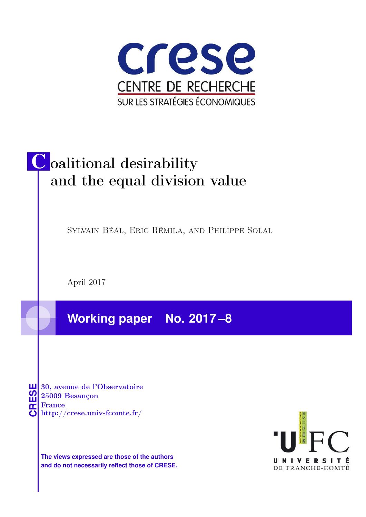

# Coalitional desirability and the equal division value

Sylvain Béal, Eric Rémila, and Philippe Solal

April 2017

**Working paper No. 2017 –8**

**CRESE 30, avenue de l'Observatoire<br>
25009 Besançon<br>
France<br>
<b>CRESE de l'Observatoire**<br>
Http://crese.univ-fcomte.fr/ 25009 Besançon France

**The views expressed are those of the authors and do not necessarily reflect those of CRESE.**

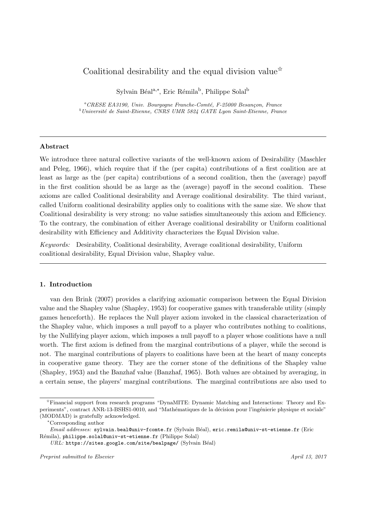# Coalitional desirability and the equal division value<sup> $\star$ </sup>

Sylvain Béal<sup>a,∗</sup>, Eric Rémila<sup>b</sup>, Philippe Solal<sup>b</sup>

<sup>a</sup>CRESE EA3190, Univ. Bourgogne Franche-Comté, F-25000 Besançon, France  $^{b}$ Université de Saint-Etienne, CNRS UMR 5824 GATE Lyon Saint-Etienne, France

## Abstract

We introduce three natural collective variants of the well-known axiom of Desirability (Maschler and Peleg, 1966), which require that if the (per capita) contributions of a first coalition are at least as large as the (per capita) contributions of a second coalition, then the (average) payoff in the first coalition should be as large as the (average) payoff in the second coalition. These axioms are called Coalitional desirability and Average coalitional desirability. The third variant, called Uniform coalitional desirability applies only to coalitions with the same size. We show that Coalitional desirability is very strong: no value satisfies simultaneously this axiom and Efficiency. To the contrary, the combination of either Average coalitional desirability or Uniform coalitional desirability with Efficiency and Additivity characterizes the Equal Division value.

Keywords: Desirability, Coalitional desirability, Average coalitional desirability, Uniform coalitional desirability, Equal Division value, Shapley value.

#### 1. Introduction

van den Brink (2007) provides a clarifying axiomatic comparison between the Equal Division value and the Shapley value (Shapley, 1953) for cooperative games with transferable utility (simply games henceforth). He replaces the Null player axiom invoked in the classical characterization of the Shapley value, which imposes a null payoff to a player who contributes nothing to coalitions, by the Nullifying player axiom, which imposes a null payoff to a player whose coalitions have a null worth. The first axiom is defined from the marginal contributions of a player, while the second is not. The marginal contributions of players to coalitions have been at the heart of many concepts in cooperative game theory. They are the corner stone of the definitions of the Shapley value (Shapley, 1953) and the Banzhaf value (Banzhaf, 1965). Both values are obtained by averaging, in a certain sense, the players' marginal contributions. The marginal contributions are also used to

<sup>✩</sup>Financial support from research programs "DynaMITE: Dynamic Matching and Interactions: Theory and Experiments", contract ANR-13-BSHS1-0010, and "Mathématiques de la décision pour l'ingénierie physique et sociale" (MODMAD) is gratefully acknowledged.

<sup>∗</sup>Corresponding author

Email addresses: sylvain.beal@univ-fcomte.fr (Sylvain Béal), eric.remila@univ-st-etienne.fr (Eric Rémila), philippe.solal@univ-st-etienne.fr (Philippe Solal)

 $URL:$  https://sites.google.com/site/bealpage/ (Sylvain Béal)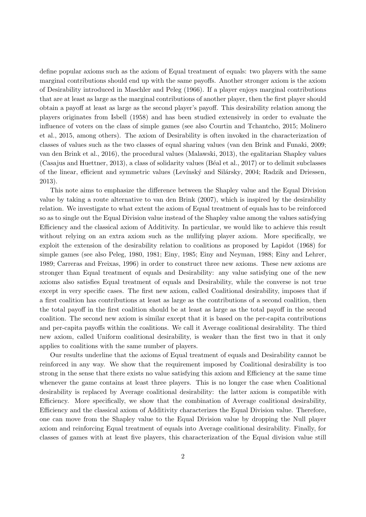define popular axioms such as the axiom of Equal treatment of equals: two players with the same marginal contributions should end up with the same payoffs. Another stronger axiom is the axiom of Desirability introduced in Maschler and Peleg (1966). If a player enjoys marginal contributions that are at least as large as the marginal contributions of another player, then the first player should obtain a payoff at least as large as the second player's payoff. This desirability relation among the players originates from Isbell (1958) and has been studied extensively in order to evaluate the influence of voters on the class of simple games (see also Courtin and Tchantcho, 2015; Molinero et al., 2015, among others). The axiom of Desirability is often invoked in the characterization of classes of values such as the two classes of equal sharing values (van den Brink and Funaki, 2009; van den Brink et al., 2016), the procedural values (Malawski, 2013), the egalitarian Shapley values (Casajus and Huettner, 2013), a class of solidarity values (Béal et al., 2017) or to delimit subclasses of the linear, efficient and symmetric values (Levínský and Silársky, 2004; Radzik and Driessen, 2013).

This note aims to emphasize the difference between the Shapley value and the Equal Division value by taking a route alternative to van den Brink (2007), which is inspired by the desirability relation. We investigate to what extent the axiom of Equal treatment of equals has to be reinforced so as to single out the Equal Division value instead of the Shapley value among the values satisfying Efficiency and the classical axiom of Additivity. In particular, we would like to achieve this result without relying on an extra axiom such as the nullifying player axiom. More specifically, we exploit the extension of the desirability relation to coalitions as proposed by Lapidot (1968) for simple games (see also Peleg, 1980, 1981; Einy, 1985; Einy and Neyman, 1988; Einy and Lehrer, 1989; Carreras and Freixas, 1996) in order to construct three new axioms. These new axioms are stronger than Equal treatment of equals and Desirability: any value satisfying one of the new axioms also satisfies Equal treatment of equals and Desirability, while the converse is not true except in very specific cases. The first new axiom, called Coalitional desirability, imposes that if a first coalition has contributions at least as large as the contributions of a second coalition, then the total payoff in the first coalition should be at least as large as the total payoff in the second coalition. The second new axiom is similar except that it is based on the per-capita contributions and per-capita payoffs within the coalitions. We call it Average coalitional desirability. The third new axiom, called Uniform coalitional desirability, is weaker than the first two in that it only applies to coalitions with the same number of players.

Our results underline that the axioms of Equal treatment of equals and Desirability cannot be reinforced in any way. We show that the requirement imposed by Coalitional desirability is too strong in the sense that there exists no value satisfying this axiom and Efficiency at the same time whenever the game contains at least three players. This is no longer the case when Coalitional desirability is replaced by Average coalitional desirability: the latter axiom is compatible with Efficiency. More specifically, we show that the combination of Average coalitional desirability, Efficiency and the classical axiom of Additivity characterizes the Equal Division value. Therefore, one can move from the Shapley value to the Equal Division value by dropping the Null player axiom and reinforcing Equal treatment of equals into Average coalitional desirability. Finally, for classes of games with at least five players, this characterization of the Equal division value still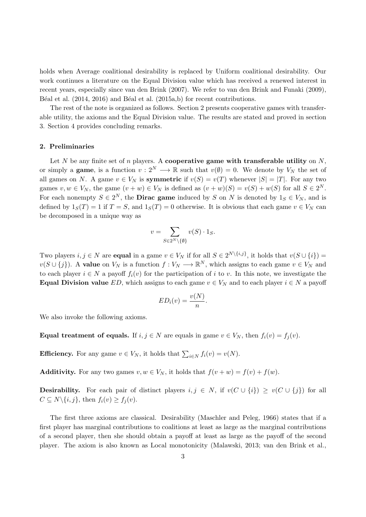holds when Average coalitional desirability is replaced by Uniform coalitional desirability. Our work continues a literature on the Equal Division value which has received a renewed interest in recent years, especially since van den Brink (2007). We refer to van den Brink and Funaki (2009), Béal et al. (2014, 2016) and Béal et al. (2015a,b) for recent contributions.

The rest of the note is organized as follows. Section 2 presents cooperative games with transferable utility, the axioms and the Equal Division value. The results are stated and proved in section 3. Section 4 provides concluding remarks.

## 2. Preliminaries

Let N be any finite set of n players. A cooperative game with transferable utility on  $N$ , or simply a **game**, is a function  $v: 2^N \longrightarrow \mathbb{R}$  such that  $v(\emptyset) = 0$ . We denote by  $V_N$  the set of all games on N. A game  $v \in V_N$  is **symmetric** if  $v(S) = v(T)$  whenever  $|S| = |T|$ . For any two games  $v, w \in V_N$ , the game  $(v + w) \in V_N$  is defined as  $(v + w)(S) = v(S) + w(S)$  for all  $S \in 2^N$ . For each nonempty  $S \in 2^N$ , the **Dirac game** induced by S on N is denoted by  $1_S \in V_N$ , and is defined by  $1_S(T) = 1$  if  $T = S$ , and  $1_S(T) = 0$  otherwise. It is obvious that each game  $v \in V_N$  can be decomposed in a unique way as

$$
v = \sum_{S \in 2^N \setminus \{\emptyset\}} v(S) \cdot 1_S.
$$

Two players  $i, j \in N$  are **equal** in a game  $v \in V_N$  if for all  $S \in 2^{N \setminus \{i,j\}}$ , it holds that  $v(S \cup \{i\}) =$  $v(S \cup \{j\})$ . A value on  $V_N$  is a function  $f: V_N \longrightarrow \mathbb{R}^N$ , which assigns to each game  $v \in V_N$  and to each player  $i \in N$  a payoff  $f_i(v)$  for the participation of i to v. In this note, we investigate the Equal Division value ED, which assigns to each game  $v \in V_N$  and to each player  $i \in N$  a payoff

$$
ED_i(v) = \frac{v(N)}{n}.
$$

We also invoke the following axioms.

Equal treatment of equals. If  $i, j \in N$  are equals in game  $v \in V_N$ , then  $f_i(v) = f_i(v)$ .

**Efficiency.** For any game  $v \in V_N$ , it holds that  $\sum_{i \in N} f_i(v) = v(N)$ .

Additivity. For any two games  $v, w \in V_N$ , it holds that  $f(v + w) = f(v) + f(w)$ .

**Desirability.** For each pair of distinct players  $i, j \in N$ , if  $v(C \cup \{i\}) \geq v(C \cup \{j\})$  for all  $C \subseteq N \setminus \{i, j\}$ , then  $f_i(v) \ge f_j(v)$ .

The first three axioms are classical. Desirability (Maschler and Peleg, 1966) states that if a first player has marginal contributions to coalitions at least as large as the marginal contributions of a second player, then she should obtain a payoff at least as large as the payoff of the second player. The axiom is also known as Local monotonicity (Malawski, 2013; van den Brink et al.,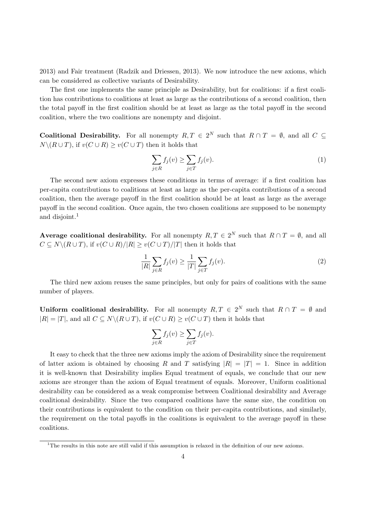2013) and Fair treatment (Radzik and Driessen, 2013). We now introduce the new axioms, which can be considered as collective variants of Desirability.

The first one implements the same principle as Desirability, but for coalitions: if a first coalition has contributions to coalitions at least as large as the contributions of a second coalition, then the total payoff in the first coalition should be at least as large as the total payoff in the second coalition, where the two coalitions are nonempty and disjoint.

**Coalitional Desirability.** For all nonempty  $R, T \in 2^N$  such that  $R \cap T = \emptyset$ , and all  $C \subseteq$  $N\backslash (R\cup T)$ , if  $v(C\cup R) \ge v(C\cup T)$  then it holds that

$$
\sum_{j \in R} f_j(v) \ge \sum_{j \in T} f_j(v). \tag{1}
$$

The second new axiom expresses these conditions in terms of average: if a first coalition has per-capita contributions to coalitions at least as large as the per-capita contributions of a second coalition, then the average payoff in the first coalition should be at least as large as the average payoff in the second coalition. Once again, the two chosen coalitions are supposed to be nonempty and disjoint.<sup>1</sup>

Average coalitional desirability. For all nonempty  $R, T \in 2^N$  such that  $R \cap T = \emptyset$ , and all  $C \subseteq N \setminus (R \cup T)$ , if  $v(C \cup R)/|R| \ge v(C \cup T)/|T|$  then it holds that

$$
\frac{1}{|R|} \sum_{j \in R} f_j(v) \ge \frac{1}{|T|} \sum_{j \in T} f_j(v).
$$
\n
$$
(2)
$$

The third new axiom reuses the same principles, but only for pairs of coalitions with the same number of players.

Uniform coalitional desirability. For all nonempty  $R, T \in 2^N$  such that  $R \cap T = \emptyset$  and  $|R| = |T|$ , and all  $C \subseteq N \setminus (R \cup T)$ , if  $v(C \cup R) \ge v(C \cup T)$  then it holds that

$$
\sum_{j \in R} f_j(v) \ge \sum_{j \in T} f_j(v).
$$

It easy to check that the three new axioms imply the axiom of Desirability since the requirement of latter axiom is obtained by choosing R and T satisfying  $|R| = |T| = 1$ . Since in addition it is well-known that Desirability implies Equal treatment of equals, we conclude that our new axioms are stronger than the axiom of Equal treatment of equals. Moreover, Uniform coalitional desirability can be considered as a weak compromise between Coalitional desirability and Average coalitional desirability. Since the two compared coalitions have the same size, the condition on their contributions is equivalent to the condition on their per-capita contributions, and similarly, the requirement on the total payoffs in the coalitions is equivalent to the average payoff in these coalitions.

<sup>&</sup>lt;sup>1</sup>The results in this note are still valid if this assumption is relaxed in the definition of our new axioms.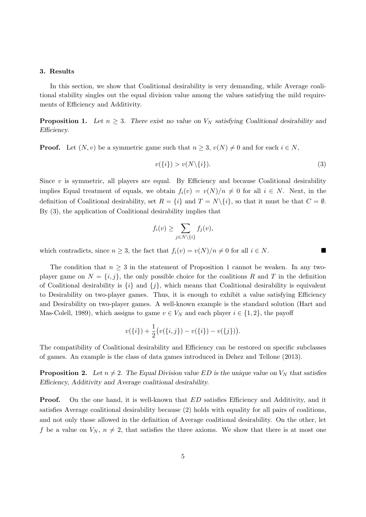#### 3. Results

In this section, we show that Coalitional desirability is very demanding, while Average coalitional stability singles out the equal division value among the values satisfying the mild requirements of Efficiency and Additivity.

**Proposition 1.** Let  $n \geq 3$ . There exist no value on  $V_N$  satisfying Coalitional desirability and Efficiency.

**Proof.** Let  $(N, v)$  be a symmetric game such that  $n \geq 3$ ,  $v(N) \neq 0$  and for each  $i \in N$ ,

$$
v(\{i\}) > v(N\backslash\{i\}).\tag{3}
$$

Since  $v$  is symmetric, all players are equal. By Efficiency and because Coalitional desirability implies Equal treatment of equals, we obtain  $f_i(v) = v(N)/n \neq 0$  for all  $i \in N$ . Next, in the definition of Coalitional desirability, set  $R = \{i\}$  and  $T = N\setminus\{i\}$ , so that it must be that  $C = \emptyset$ . By (3), the application of Coalitional desirability implies that

$$
f_i(v) \ge \sum_{j \in N \setminus \{i\}} f_j(v),
$$

which contradicts, since  $n \geq 3$ , the fact that  $f_i(v) = v(N)/n \neq 0$  for all  $i \in N$ .

The condition that  $n \geq 3$  in the statement of Proposition 1 cannot be weaken. In any twoplayer game on  $N = \{i, j\}$ , the only possible choice for the coalitions R and T in the definition of Coalitional desirability is  $\{i\}$  and  $\{j\}$ , which means that Coalitional desirability is equivalent to Desirability on two-player games. Thus, it is enough to exhibit a value satisfying Efficiency and Desirability on two-player games. A well-known example is the standard solution (Hart and Mas-Colell, 1989), which assigns to game  $v \in V_N$  and each player  $i \in \{1, 2\}$ , the payoff

$$
v(\{i\}) + \frac{1}{2}(v(\{i,j\}) - v(\{i\}) - v(\{j\})).
$$

The compatibility of Coalitional desirability and Efficiency can be restored on specific subclasses of games. An example is the class of data games introduced in Dehez and Tellone (2013).

**Proposition 2.** Let  $n \neq 2$ . The Equal Division value ED is the unique value on  $V_N$  that satisfies Efficiency, Additivity and Average coalitional desirability.

**Proof.** On the one hand, it is well-known that ED satisfies Efficiency and Additivity, and it satisfies Average coalitional desirability because (2) holds with equality for all pairs of coalitions, and not only those allowed in the definition of Average coalitional desirability. On the other, let f be a value on  $V_N$ ,  $n \neq 2$ , that satisfies the three axioms. We show that there is at most one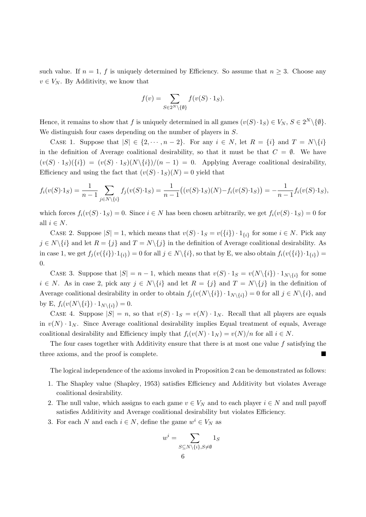such value. If  $n = 1$ , f is uniquely determined by Efficiency. So assume that  $n \geq 3$ . Choose any  $v \in V_N$ . By Additivity, we know that

$$
f(v) = \sum_{S \in 2^N \setminus \{\emptyset\}} f(v(S) \cdot 1_S).
$$

Hence, it remains to show that f is uniquely determined in all games  $(v(S) \cdot 1_S) \in V_N$ ,  $S \in 2^N \setminus \{\emptyset\}.$ We distinguish four cases depending on the number of players in S.

CASE 1. Suppose that  $|S| \in \{2, \dots, n-2\}$ . For any  $i \in N$ , let  $R = \{i\}$  and  $T = N\setminus\{i\}$ in the definition of Average coalitional desirability, so that it must be that  $C = \emptyset$ . We have  $(v(S) \cdot 1_S)(\{i\}) = (v(S) \cdot 1_S)(N\{i\})/(n-1) = 0$ . Applying Average coalitional desirability, Efficiency and using the fact that  $(v(S) \cdot 1_S)(N) = 0$  yield that

$$
f_i(v(S) \cdot 1_S) = \frac{1}{n-1} \sum_{j \in N \setminus \{i\}} f_j(v(S) \cdot 1_S) = \frac{1}{n-1} \big( (v(S) \cdot 1_S)(N) - f_i(v(S) \cdot 1_S) \big) = -\frac{1}{n-1} f_i(v(S) \cdot 1_S),
$$

which forces  $f_i(v(S) \cdot 1_S) = 0$ . Since  $i \in N$  has been chosen arbitrarily, we get  $f_i(v(S) \cdot 1_S) = 0$  for all  $i \in N$ .

CASE 2. Suppose  $|S| = 1$ , which means that  $v(S) \cdot 1_S = v(\{i\}) \cdot 1_{\{i\}}$  for some  $i \in N$ . Pick any  $j \in N \setminus \{i\}$  and let  $R = \{j\}$  and  $T = N \setminus \{j\}$  in the definition of Average coalitional desirability. As in case 1, we get  $f_j(v(\{i\}) \cdot 1_{\{i\}}) = 0$  for all  $j \in N \setminus \{i\}$ , so that by E, we also obtain  $f_i(v(\{i\}) \cdot 1_{\{i\}}) =$ 0.

CASE 3. Suppose that  $|S| = n - 1$ , which means that  $v(S) \cdot 1_S = v(N\setminus\{i\}) \cdot 1_{N\setminus\{i\}}$  for some  $i \in N$ . As in case 2, pick any  $j \in N \setminus \{i\}$  and let  $R = \{j\}$  and  $T = N \setminus \{j\}$  in the definition of Average coalitional desirability in order to obtain  $f_j(v(N\setminus\{i\}) \cdot 1_{N\setminus\{i\}}) = 0$  for all  $j \in N\setminus\{i\}$ , and by E,  $f_i(v(N\setminus\{i\}) \cdot 1_{N\setminus\{i\}}) = 0.$ 

CASE 4. Suppose  $|S| = n$ , so that  $v(S) \cdot 1_S = v(N) \cdot 1_N$ . Recall that all players are equals in  $v(N) \cdot 1_N$ . Since Average coalitional desirability implies Equal treatment of equals, Average coalitional desirability and Efficiency imply that  $f_i(v(N) \cdot 1_N) = v(N)/n$  for all  $i \in N$ .

The four cases together with Additivity ensure that there is at most one value  $f$  satisfying the three axioms, and the proof is complete.

The logical independence of the axioms invoked in Proposition 2 can be demonstrated as follows:

- 1. The Shapley value (Shapley, 1953) satisfies Efficiency and Additivity but violates Average coalitional desirability.
- 2. The null value, which assigns to each game  $v \in V_N$  and to each player  $i \in N$  and null payoff satisfies Additivity and Average coalitional desirability but violates Efficiency.
- 3. For each N and each  $i \in N$ , define the game  $w^i \in V_N$  as

$$
w^i = \sum_{\substack{S \subseteq N \setminus \{i\}, S \neq \emptyset \\ G}} 1_S
$$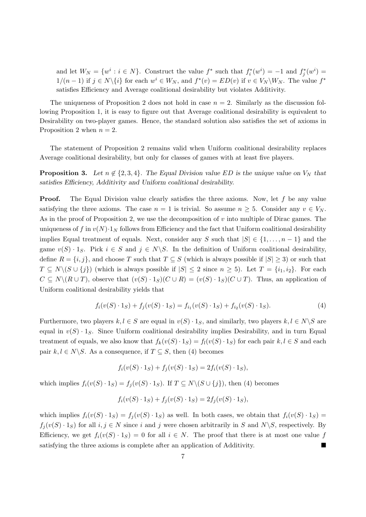and let  $W_N = \{w^i : i \in N\}$ . Construct the value  $f^*$  such that  $f_i^*(w^i) = -1$  and  $f_j^*(w^i) =$  $1/(n-1)$  if  $j \in N \setminus \{i\}$  for each  $w^i \in W_N$ , and  $f^*(v) = ED(v)$  if  $v \in V_N \setminus W_N$ . The value  $f^*$ satisfies Efficiency and Average coalitional desirability but violates Additivity.

The uniqueness of Proposition 2 does not hold in case  $n = 2$ . Similarly as the discussion following Proposition 1, it is easy to figure out that Average coalitional desirability is equivalent to Desirability on two-player games. Hence, the standard solution also satisfies the set of axioms in Proposition 2 when  $n = 2$ .

The statement of Proposition 2 remains valid when Uniform coalitional desirability replaces Average coalitional desirability, but only for classes of games with at least five players.

**Proposition 3.** Let  $n \notin \{2, 3, 4\}$ . The Equal Division value ED is the unique value on  $V_N$  that satisfies Efficiency, Additivity and Uniform coalitional desirability.

**Proof.** The Equal Division value clearly satisfies the three axioms. Now, let  $f$  be any value satisfying the three axioms. The case  $n = 1$  is trivial. So assume  $n \geq 5$ . Consider any  $v \in V_N$ . As in the proof of Proposition 2, we use the decomposition of v into multiple of Dirac games. The uniqueness of f in  $v(N) \cdot 1_N$  follows from Efficiency and the fact that Uniform coalitional desirability implies Equal treatment of equals. Next, consider any S such that  $|S| \in \{1, \ldots, n-1\}$  and the game  $v(S) \cdot 1_S$ . Pick  $i \in S$  and  $j \in N \backslash S$ . In the definition of Uniform coalitional desirability, define  $R = \{i, j\}$ , and choose T such that  $T \subseteq S$  (which is always possible if  $|S| \geq 3$ ) or such that  $T \subseteq N \setminus (S \cup \{j\})$  (which is always possible if  $|S| \leq 2$  since  $n \geq 5$ ). Let  $T = \{i_1, i_2\}$ . For each  $C \subseteq N \setminus (R \cup T)$ , observe that  $(v(S) \cdot 1_S)(C \cup R) = (v(S) \cdot 1_S)(C \cup T)$ . Thus, an application of Uniform coalitional desirability yields that

$$
f_i(v(S) \cdot 1_S) + f_j(v(S) \cdot 1_S) = f_{i_1}(v(S) \cdot 1_S) + f_{i_2}(v(S) \cdot 1_S). \tag{4}
$$

Furthermore, two players  $k, l \in S$  are equal in  $v(S) \cdot 1_S$ , and similarly, two players  $k, l \in N \backslash S$  are equal in  $v(S) \cdot 1_S$ . Since Uniform coalitional desirability implies Desirability, and in turn Equal treatment of equals, we also know that  $f_k(v(S) \cdot 1_S) = f_l(v(S) \cdot 1_S)$  for each pair  $k, l \in S$  and each pair  $k, l \in N \backslash S$ . As a consequence, if  $T \subseteq S$ , then (4) becomes

$$
f_i(v(S) \cdot 1_S) + f_j(v(S) \cdot 1_S) = 2f_i(v(S) \cdot 1_S),
$$

which implies  $f_i(v(S) \cdot 1_S) = f_i(v(S) \cdot 1_S)$ . If  $T \subseteq N \setminus (S \cup \{j\})$ , then (4) becomes

$$
f_i(v(S) \cdot 1_S) + f_j(v(S) \cdot 1_S) = 2f_j(v(S) \cdot 1_S),
$$

which implies  $f_i(v(S) \cdot 1_S) = f_i(v(S) \cdot 1_S)$  as well. In both cases, we obtain that  $f_i(v(S) \cdot 1_S)$  $f_i(v(S) \cdot 1_S)$  for all  $i, j \in N$  since i and j were chosen arbitrarily in S and  $N \setminus S$ , respectively. By Efficiency, we get  $f_i(v(S) \cdot 1_S) = 0$  for all  $i \in N$ . The proof that there is at most one value f satisfying the three axioms is complete after an application of Additivity.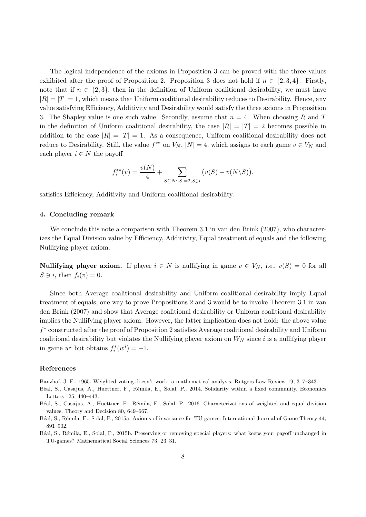The logical independence of the axioms in Proposition 3 can be proved with the three values exhibited after the proof of Proposition 2. Proposition 3 does not hold if  $n \in \{2, 3, 4\}$ . Firstly, note that if  $n \in \{2,3\}$ , then in the definition of Uniform coalitional desirability, we must have  $|R| = |T| = 1$ , which means that Uniform coalitional desirability reduces to Desirability. Hence, any value satisfying Efficiency, Additivity and Desirability would satisfy the three axioms in Proposition 3. The Shapley value is one such value. Secondly, assume that  $n = 4$ . When choosing R and T in the definition of Uniform coalitional desirability, the case  $|R| = |T| = 2$  becomes possible in addition to the case  $|R| = |T| = 1$ . As a consequence, Uniform coalitional desirability does not reduce to Desirability. Still, the value  $f^{**}$  on  $V_N$ ,  $|N| = 4$ , which assigns to each game  $v \in V_N$  and each player  $i \in N$  the payoff

$$
f_i^{**}(v) = \frac{v(N)}{4} + \sum_{S \subseteq N: |S| = 2, S \ni i} (v(S) - v(N \setminus S)).
$$

satisfies Efficiency, Additivity and Uniform coalitional desirability.

#### 4. Concluding remark

We conclude this note a comparison with Theorem 3.1 in van den Brink (2007), who characterizes the Equal Division value by Efficiency, Additivity, Equal treatment of equals and the following Nullifying player axiom.

**Nullifying player axiom.** If player  $i \in N$  is nullifying in game  $v \in V_N$ , i.e.,  $v(S) = 0$  for all  $S \ni i$ , then  $f_i(v) = 0$ .

Since both Average coalitional desirability and Uniform coalitional desirability imply Equal treatment of equals, one way to prove Propositions 2 and 3 would be to invoke Theorem 3.1 in van den Brink (2007) and show that Average coalitional desirability or Uniform coalitional desirability implies the Nullifying player axiom. However, the latter implication does not hold: the above value f ∗ constructed after the proof of Proposition 2 satisfies Average coalitional desirability and Uniform coalitional desirability but violates the Nullifying player axiom on  $W_N$  since i is a nullifying player in game  $w^i$  but obtains  $f_i^*(w^i) = -1$ .

#### References

Banzhaf, J. F., 1965. Weighted voting doesn't work: a mathematical analysis. Rutgers Law Review 19, 317–343.

- Béal, S., Casajus, A., Huettner, F., Rémila, E., Solal, P., 2014. Solidarity within a fixed community. Economics Letters 125, 440–443.
- Béal, S., Casajus, A., Huettner, F., Rémila, E., Solal, P., 2016. Characterizations of weighted and equal division values. Theory and Decision 80, 649–667.
- Béal, S., Rémila, E., Solal, P., 2015a. Axioms of invariance for TU-games. International Journal of Game Theory 44, 891–902.
- Béal, S., Rémila, E., Solal, P., 2015b. Preserving or removing special players: what keeps your payoff unchanged in TU-games? Mathematical Social Sciences 73, 23–31.